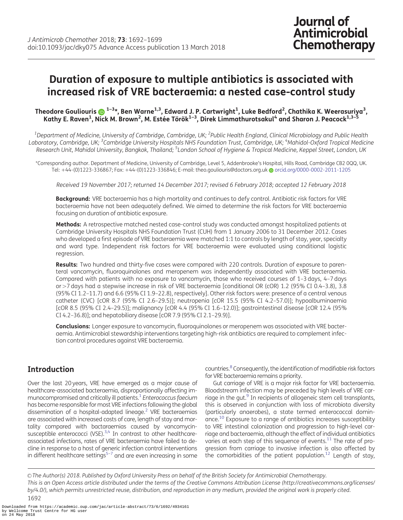# <span id="page-0-0"></span>Duration of exposure to multiple antibiotics is associated with increased risk of VRE bacteraemia: a nested case-control study

Theodore Gouliouris  $\bullet^{1-3*}$ , Ben Warne $^{1,3}$ , Edward J. P. Cartwright $^1$ , Luke Bedford $^2$ , Chathika K. Weerasuriya $^3$ , Kathy E. Raven $^1$ , Nick M. Brown $^2$ , M. Estée Török $^{1-3}$ , Direk Limmathurotsakul $^4$  and Sharon J. Peacock $^{1,3-5}$ 

 $^{\rm 1}$ Department of Medicine, University of Cambridge, Cambridge, UK; <sup>2</sup>Public Health England, Clinical Microbiology and Public Health Laboratory, Cambridge, UK; <sup>3</sup>Cambridge University Hospitals NHS Foundation Trust, Cambridge, UK; <sup>4</sup>Mahidol-Oxford Tropical Medicine Research Unit, Mahidol University, Bangkok, Thailand; <sup>5</sup>London School of Hygiene & Tropical Medicine, Keppel Street, London, UK

\*Corresponding author. Department of Medicine, University of Cambridge, Level 5, Addenbrooke's Hospital, Hills Road, Cambridge CB2 0QQ, UK. Tel: +44-(0)1223-336867; Fax: +44-(0)1223-336846; E-mail: theo.gouliouris@doctors.org.uk @ [orcid.org/0000-0002-2011-1205](http://orcid.org/0000-0002-2011-1205)

Received 19 November 2017; returned 14 December 2017; revised 6 February 2018; accepted 12 February 2018

**Background:** VRE bacteraemia has a high mortality and continues to defy control. Antibiotic risk factors for VRE bacteraemia have not been adequately defined. We aimed to determine the risk factors for VRE bacteraemia focusing on duration of antibiotic exposure.

Methods: A retrospective matched nested case-control study was conducted amongst hospitalized patients at Cambridge University Hospitals NHS Foundation Trust (CUH) from 1 January 2006 to 31 December 2012. Cases who developed a first episode of VRE bacteraemia were matched 1:1 to controls by length of stay, year, specialty and ward type. Independent risk factors for VRE bacteraemia were evaluated using conditional logistic regression.

Results: Two hundred and thirty-five cases were compared with 220 controls. Duration of exposure to parenteral vancomycin, fluoroquinolones and meropenem was independently associated with VRE bacteraemia. Compared with patients with no exposure to vancomycin, those who received courses of 1–3 days, 4–7 days or .7 days had a stepwise increase in risk of VRE bacteraemia [conditional OR (cOR) 1.2 (95% CI 0.4–3.8), 3.8 (95% CI 1.2–11.7) and 6.6 (95% CI 1.9–22.8), respectively]. Other risk factors were: presence of a central venous catheter (CVC) [cOR 8.7 (95% CI 2.6–29.5)]; neutropenia [cOR 15.5 (95% CI 4.2–57.0)]; hypoalbuminaemia [cOR 8.5 (95% CI 2.4–29.5)]; malignancy [cOR 4.4 (95% CI 1.6–12.0)]; gastrointestinal disease [cOR 12.4 (95% CI 4.2–36.8)]; and hepatobiliary disease [cOR 7.9 (95% CI 2.1–29.9)].

Conclusions: Longer exposure to vancomycin, fluoroquinolones or meropenem was associated with VRE bacteraemia. Antimicrobial stewardship interventions targeting high-risk antibiotics are required to complement infection control procedures against VRE bacteraemia.

# Introduction

Over the last 20 years, VRE have emerged as a major cause of healthcare-associated bacteraemia, disproportionally affecting immunocompromised and critically ill patients.<sup>1</sup> Enterococcus faecium has become responsible for most VRE infections following the global dissemination of a hospital-adapted lineage.<sup>2</sup> VRE bacteraemias are associated with increased costs of care, length of stay and mortality compared with bactaraemias caused by vancomycin-susceptible enterococci (VSE).<sup>[3](#page-6-0),[4](#page-6-0)</sup> In contrast to other healthcareassociated infections, rates of VRE bacteraemia have failed to decline in response to a host of generic infection control interventions in different healthcare settings<sup>5-7</sup> and are even increasing in some countries.<sup>8</sup> Consequently, the identification of modifiable risk factors for VRE bacteraemia remains a priority.

Gut carriage of VRE is a major risk factor for VRE bacteraemia. Bloodstream infection may be preceded by high levels of VRE carriage in the gut.[9](#page-6-0) In recipients of allogeneic stem cell transplants, this is observed in conjunction with loss of microbiota diversity (particularly anaerobes), a state termed enterococcal dominance[.10](#page-6-0) Exposure to a range of antibiotics increases susceptibility to VRE intestinal colonization and progression to high-level carriage and bacteraemia, although the effect of individual antibiotics varies at each step of this sequence of events.<sup>[11](#page-6-0)</sup> The rate of progression from carriage to invasive infection is also affected by the comorbidities of the patient population.<sup>12</sup> Length of stay,

© The Author(s) 2018. Published by Oxford University Press on behalf of the British Society for Antimicrobial Chemotherapy. This is an Open Access article distributed under the terms of the Creative Commons Attribution License (http://creativecommons.org/licenses/ by/4.0/), which permits unrestricted reuse, distribution, and reproduction in any medium, provided the original work is properly cited. 1692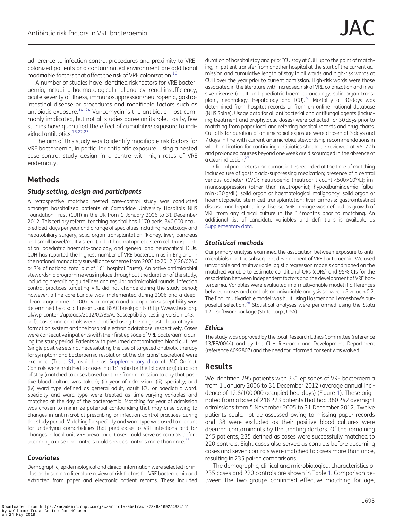<span id="page-1-0"></span>adherence to infection control procedures and proximity to VREcolonized patients or a contaminated environment are additional modifiable factors that affect the risk of VRE colonization.<sup>13</sup>

A number of studies have identified risk factors for VRE bacteraemia, including haematological malignancy, renal insufficiency, acute severity of illness, immunosuppression/neutropenia, gastrointestinal disease or procedures and modifiable factors such as antibiotic exposure. $14-24}$  Vancomycin is the antibiotic most commonly implicated, but not all studies agree on its role. Lastly, few studies have quantified the effect of cumulative exposure to individual antibiotics[.15,22,23](#page-7-0)

The aim of this study was to identify modifiable risk factors for VRE bacteraemia, in particular antibiotic exposure, using a nested case-control study design in a centre with high rates of VRE endemicity.

## Methods

#### Study setting, design and participants

A retrospective matched nested case-control study was conducted amongst hospitalized patients at Cambridge University Hospitals NHS Foundation Trust (CUH) in the UK from 1 January 2006 to 31 December 2012. This tertiary referral teaching hospital has 1170 beds, 340 000 occupied bed-days per year and a range of specialties including hepatology and hepatobiliary surgery, solid organ transplantation (kidney, liver, pancreas and small bowel/multivisceral), adult haematopoietic stem cell transplantation, paediatric haemato-oncology, and general and neurocritical ICUs. CUH has reported the highest number of VRE bacteraemias in England in the national mandatory surveillance scheme from 2003 to 2012 (426/6246 or 7% of national total out of 161 hospital Trusts). An active antimicrobial stewardship programme was in place throughout the duration of the study, including prescribing guidelines and regular antimicrobial rounds. Infection control practices targeting VRE did not change during the study period; however, a line-care bundle was implemented during 2006 and a deepclean programme in 2007. Vancomycin and teicoplanin susceptibility was determined by disc diffusion using BSAC breakpoints [\(http://www.bsac.org.](http://www.bsac.org.uk/wp-content/uploads/2012/02/BSAC-Susceptibility-testing-version-143.pdf) [uk/wp-content/uploads/2012/02/BSAC-Susceptibility-testing-version-143.](http://www.bsac.org.uk/wp-content/uploads/2012/02/BSAC-Susceptibility-testing-version-143.pdf) [pdf\)](http://www.bsac.org.uk/wp-content/uploads/2012/02/BSAC-Susceptibility-testing-version-143.pdf). Cases and controls were identified using the diagnostic laboratory information system and the hospital electronic database, respectively. Cases were consecutive inpatients with their first episode of VRE bacteraemia during the study period. Patients with presumed contaminated blood cultures (single positive sets not necessitating the use of targeted antibiotic therapy for symptom and bacteraemia resolution at the clinicians' discretion) were excluded (Table [S1](https://academic.oup.com/jac/article-lookup/doi/10.1093/jac/dky075#supplementary-data), available as [Supplementary data](https://academic.oup.com/jac/article-lookup/doi/10.1093/jac/dky075#supplementary-data) at JAC Online). Controls were matched to cases in a 1:1 ratio for the following: (i) duration of stay (matched to cases based on time from admission to day that positive blood culture was taken); (ii) year of admission; (iii) specialty; and (iv) ward type defined as general adult, adult ICU or paediatric ward. Specialty and ward type were treated as time-varying variables and matched at the day of the bacteraemia. Matching for year of admission was chosen to minimize potential confounding that may arise owing to changes in antimicrobial prescribing or infection control practices during the study period. Matching for specialty and ward type was used to account for underlying comorbidities that predispose to VRE infections and for changes in local unit VRE prevalence. Cases could serve as controls before becoming a case and controls could serve as controls more than once.<sup>25</sup>

#### Covariates

Demographic, epidemiological and clinical information were selected for inclusion based on a literature review of risk factors for VRE bacteraemia and extracted from paper and electronic patient records. These included

duration of hospital stay and prior ICU stay at CUH up to the point of matching, in-patient transfer from another hospital at the start of the current admission and cumulative length of stay in all wards and high-risk wards at CUH over the year prior to current admission. High-risk wards were those associated in the literature with increased risk of VRE colonization and invasive disease (adult and paediatric haemato-oncology, solid organ trans-plant, nephrology, hepatology and ICU).<sup>[26](#page-7-0)</sup> Mortality at 30 days was determined from hospital records or from an online national database (NHS Spine). Usage data for all antibacterial and antifungal agents (including treatment and prophylactic doses) were collected for 30 days prior to matching from paper local and referring hospital records and drug charts. Cut-offs for duration of antimicrobial exposure were chosen at 3 days and 7 days in line with current antimicrobial stewardship recommendations in which indication for continuing antibiotics should be reviewed at 48–72 h and prolonged courses beyond one week are discouraged in the absence of  $a$  clear indication.<sup>2</sup>

Clinical parameters and comorbidities recorded at the time of matching included use of gastric acid-suppressing medication; presence of a central venous catheter (CVC); neutropenia (neutrophil count <500×10<sup>6</sup>/L); immunosuppression (other than neutropenia); hypoalbuminaemia (albumin <30 g/dL); solid organ or haematological malignancy; solid organ or haematopoietic stem cell transplantation; liver cirrhosis; gastrointestinal disease; and hepatobiliary disease. VRE carriage was defined as growth of VRE from any clinical culture in the 12 months prior to matching. An additional list of candidate variables and definitions is available as [Supplementary data.](https://academic.oup.com/jac/article-lookup/doi/10.1093/jac/dky075#supplementary-data)

#### Statistical methods

Our primary analysis examined the association between exposure to antimicrobials and the subsequent development of VRE bacteraemia. We used univariable and multivariable logistic regression models conditioned on the matched variable to estimate conditional ORs (cORs) and 95% CIs for the association between independent factors and the development of VRE bacteraemia. Variables were evaluated in a multivariable model if differences between cases and controls on univariable analysis showed a  $P$  value <0.2. The final multivariable model was built using Hosmer and Lemeshow's purposeful selection.<sup>28</sup> Statistical analyses were performed using the Stata 12.1 software package (Stata Corp., USA).

#### Ethics

The study was approved by the local Research Ethics Committee (reference 13/EE/0044) and by the CUH Research and Development Department (reference A092807) and the need for informed consent was waived.

## Results

We identified 295 patients with 331 episodes of VRE bacteraemia from 1 January 2006 to 31 December 2012 (average annual incidence of 12.8/100 000 occupied bed-days) (Figure [1\)](#page-2-0). These originated from a base of 218 223 patients that had 380 242 overnight admissions from 5 November 2005 to 31 December 2012. Twelve patients could not be assessed owing to missing paper records and 38 were excluded as their positive blood cultures were deemed contaminants by the treating doctors. Of the remaining 245 patients, 235 defined as cases were successfully matched to 220 controls. Eight cases also served as controls before becoming cases and seven controls were matched to cases more than once, resulting in 235 paired comparisons.

The demographic, clinical and microbiological characteristics of 235 cases and 220 controls are shown in Table [1](#page-3-0). Comparison between the two groups confirmed effective matching for age,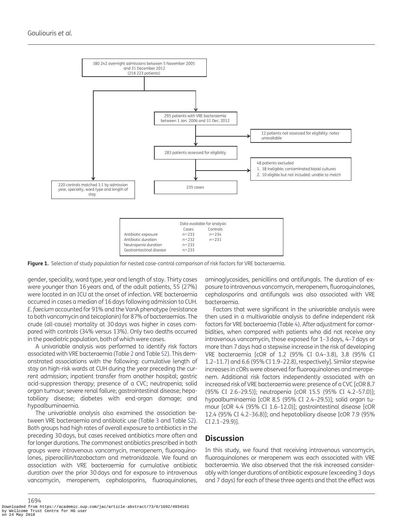#### <span id="page-2-0"></span>Gouliouris et al.



Figure 1. Selection of study population for nested case-control comparison of risk factors for VRE bacteraemia.

gender, speciality, ward type, year and length of stay. Thirty cases were younger than 16 years and, of the adult patients, 55 (27%) were located in an ICU at the onset of infection. VRE bacteraemia occurred in cases a median of 16 days following admission to CUH. E. faecium accounted for 91% and the VanA phenotype (resistance to both vancomycin and teicoplanin) for 87% of bacteraemias. The crude (all-cause) mortality at 30 days was higher in cases compared with controls (34% versus 13%). Only two deaths occurred in the paediatric population, both of which were cases.

A univariable analysis was performed to identify risk factors associated with VRE bacteraemia (Table [2](#page-4-0) and Table [S2\)](https://academic.oup.com/jac/article-lookup/doi/10.1093/jac/dky075#supplementary-data). This demonstrated associations with the following: cumulative length of stay on high-risk wards at CUH during the year preceding the current admission; inpatient transfer from another hospital; gastric acid-suppression therapy; presence of a CVC; neutropenia; solid organ tumour; severe renal failure; gastrointestinal disease; hepatobiliary disease; diabetes with end-organ damage; and hypoalbuminaemia.

The univariable analysis also examined the association between VRE bacteraemia and antibiotic use (Table [3](#page-5-0) and Table [S2\)](https://academic.oup.com/jac/article-lookup/doi/10.1093/jac/dky075#supplementary-data). Both groups had high rates of overall exposure to antibiotics in the preceding 30 days, but cases received antibiotics more often and for longer durations. The commonest antibiotics prescribed in both groups were intravenous vancomycin, meropenem, fluoroquinolones, piperacillin/tazobactam and metronidazole. We found an association with VRE bacteraemia for cumulative antibiotic duration over the prior 30 days and for exposure to intravenous vancomycin, meropenem, cephalosporins, fluoroquinolones,

aminoglycosides, penicillins and antifungals. The duration of exposure to intravenous vancomycin, meropenem, fluoroquinolones, cephalosporins and antifungals was also associated with VRE bacteraemia.

Factors that were significant in the univariable analysis were then used in a multivariable analysis to define independent risk factors for VRE bacteraemia (Table [4\)](#page-6-0). After adjustment for comorbidities, when compared with patients who did not receive any intravenous vancomycin, those exposed for 1–3 days, 4–7 days or more than 7 days had a stepwise increase in the risk of developing VRE bacteraemia [cOR of 1.2 (95% CI 0.4–3.8), 3.8 (95% CI 1.2–11.7) and 6.6 (95% CI 1.9–22.8), respectively]. Similar stepwise increases in cORs were observed for fluoroquinolones and meropenem. Additional risk factors independently associated with an increased risk of VRE bacteraemia were: presence of a CVC [cOR 8.7 (95% CI 2.6–29.5)]; neutropenia [cOR 15.5 (95% CI 4.2–57.0)]; hypoalbuminaemia [cOR 8.5 (95% CI 2.4–29.5)]; solid organ tumour [cOR 4.4 (95% CI 1.6–12.0)]; gastrointestinal disease [cOR 12.4 (95% CI 4.2–36.8)]; and hepatobiliary disease [cOR 7.9 (95% CI 2.1–29.9)].

### **Discussion**

In this study, we found that receiving intravenous vancomycin, fluoroquinolones or meropenem was each associated with VRE bacteraemia. We also observed that the risk increased considerably with longer durations of antibiotic exposure (exceeding 3 days and 7 days) for each of these three agents and that the effect was

1694 Downloaded from https://academic.oup.com/jac/article-abstract/73/6/1692/4934161 by Wellcome Trust Centre for HG user on 24 May 2018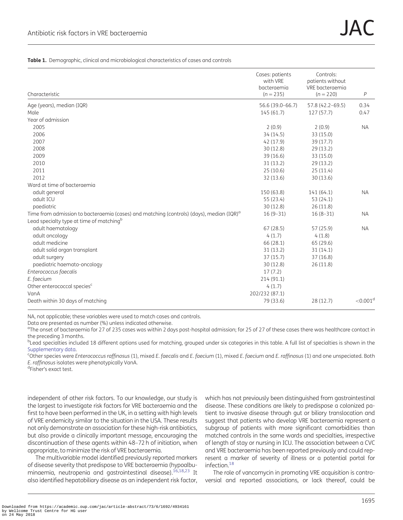<span id="page-3-0"></span>Table 1. Demographic, clinical and microbiological characteristics of cases and controls

| Characteristic                                                                                       | Cases: patients<br>with VRE<br>bacteraemia<br>$(n = 235)$ | Controls:<br>patients without<br>VRE bacteraemia<br>$(n = 220)$ | P                    |
|------------------------------------------------------------------------------------------------------|-----------------------------------------------------------|-----------------------------------------------------------------|----------------------|
| Age (years), median (IQR)                                                                            | 56.6 (39.0-66.7)                                          | 57.8 (42.2-69.5)                                                | 0.34                 |
| Male                                                                                                 | 145(61.7)                                                 | 127(57.7)                                                       | 0.47                 |
| Year of admission                                                                                    |                                                           |                                                                 |                      |
| 2005                                                                                                 | 2(0.9)                                                    | 2(0.9)                                                          | <b>NA</b>            |
| 2006                                                                                                 | 34(14.5)                                                  | 33 (15.0)                                                       |                      |
| 2007                                                                                                 | 42 (17.9)                                                 | 39 (17.7)                                                       |                      |
| 2008                                                                                                 | 30 (12.8)                                                 | 29 (13.2)                                                       |                      |
| 2009                                                                                                 | 39 (16.6)                                                 | 33 (15.0)                                                       |                      |
| 2010                                                                                                 | 31(13.2)                                                  | 29(13.2)                                                        |                      |
| 2011                                                                                                 | 25(10.6)                                                  | 25(11.4)                                                        |                      |
| 2012                                                                                                 | 32 (13.6)                                                 | 30(13.6)                                                        |                      |
| Ward at time of bacteraemia                                                                          |                                                           |                                                                 |                      |
| adult general                                                                                        | 150 (63.8)                                                | 141(64.1)                                                       | <b>NA</b>            |
| adult ICU                                                                                            | 55 (23.4)                                                 | 53 (24.1)                                                       |                      |
| paediatric                                                                                           | 30 (12.8)                                                 | 26(11.8)                                                        |                      |
| Time from admission to bacteraemia (cases) and matching (controls) (days), median (IQR) <sup>a</sup> | $16(9-31)$                                                | $16(8-31)$                                                      | <b>NA</b>            |
| Lead specialty type at time of matching <sup>b</sup>                                                 |                                                           |                                                                 |                      |
| adult haematology                                                                                    | 67(28.5)                                                  | 57 (25.9)                                                       | <b>NA</b>            |
| adult oncology                                                                                       | 4(1.7)                                                    | 4(1.8)                                                          |                      |
| adult medicine                                                                                       | 66 (28.1)                                                 | 65 (29.6)                                                       |                      |
| adult solid organ transplant                                                                         | 31(13.2)                                                  | 31(14.1)                                                        |                      |
| adult surgery                                                                                        | 37(15.7)                                                  | 37(16.8)                                                        |                      |
| paediatric haemato-oncology                                                                          | 30(12.8)                                                  | 26(11.8)                                                        |                      |
| Enterococcus faecalis                                                                                | 17(7.2)                                                   |                                                                 |                      |
| E. faecium                                                                                           | 214(91.1)                                                 |                                                                 |                      |
| Other enterococcal species <sup>c</sup>                                                              | 4(1.7)                                                    |                                                                 |                      |
| VanA                                                                                                 | 202/232 (87.1)                                            |                                                                 |                      |
| Death within 30 days of matching                                                                     | 79 (33.6)                                                 | 28 (12.7)                                                       | $<$ 0.001 $^{\rm d}$ |

NA, not applicable; these variables were used to match cases and controls.

Data are presented as number (%) unless indicated otherwise.

<sup>a</sup>The onset of bacteraemia for 27 of 235 cases was within 2 days post-hospital admission; for 25 of 27 of these cases there was healthcare contact in the preceding 3 months.

<sup>b</sup>Lead specialties included 18 different options used for matching, grouped under six categories in this table. A full list of specialties is shown in the [Supplementary data.](https://academic.oup.com/jac/article-lookup/doi/10.1093/jac/dky075#supplementary-data)

<sup>c</sup>Other species were Enterococcus raffinosus (1), mixed E. faecalis and E. faecium (1), mixed E. faecium and E. raffinosus (1) and one unspeciated. Both E. raffinosus isolates were phenotypically VanA.

<sup>d</sup>Fisher's exact test.

independent of other risk factors. To our knowledge, our study is the largest to investigate risk factors for VRE bacteraemia and the first to have been performed in the UK, in a setting with high levels of VRE endemicity similar to the situation in the USA. These results not only demonstrate an association for these high-risk antibiotics, but also provide a clinically important message, encouraging the discontinuation of these agents within 48–72 h of initiation, when appropriate, to minimize the risk of VRE bacteraemia.

The multivariable model identified previously reported markers of disease severity that predispose to VRE bacteraemia (hypoalbu-minaemia, neutropenia and gastrointestinal disease).<sup>[16](#page-7-0),[18,23](#page-7-0)</sup> It also identified hepatobiliary disease as an independent risk factor, which has not previously been distinguished from gastrointestinal disease. These conditions are likely to predispose a colonized patient to invasive disease through gut or biliary translocation and suggest that patients who develop VRE bacteraemia represent a subgroup of patients with more significant comorbidities than matched controls in the same wards and specialties, irrespective of length of stay or nursing in ICU. The association between a CVC and VRE bacteraemia has been reported previously and could represent a marker of severity of illness or a potential portal for infection[.18](#page-7-0)

The role of vancomycin in promoting VRE acquisition is controversial and reported associations, or lack thereof, could be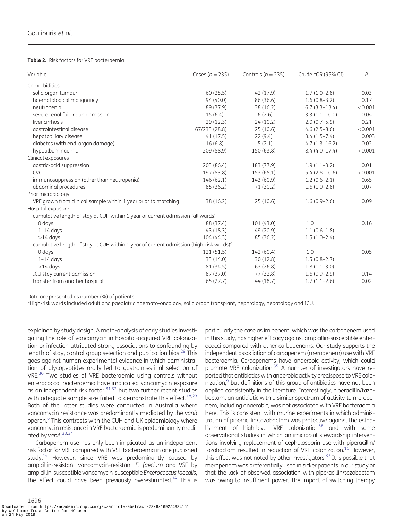#### <span id="page-4-0"></span>Table 2. Risk factors for VRE bacteraemia

| Variable                                                                                           | Cases $(n = 235)$ | Controls ( $n = 235$ ) | Crude cOR (95% CI) | P       |
|----------------------------------------------------------------------------------------------------|-------------------|------------------------|--------------------|---------|
| Comorbidities                                                                                      |                   |                        |                    |         |
| solid organ tumour                                                                                 | 60(25.5)          | 42 (17.9)              | $1.7(1.0-2.8)$     | 0.03    |
| haematological malignancy                                                                          | 94 (40.0)         | 86 (36.6)              | $1.6(0.8-3.2)$     | 0.17    |
| neutropenia                                                                                        | 89 (37.9)         | 38 (16.2)              | $6.7(3.3-13.4)$    | < 0.001 |
| severe renal failure on admission                                                                  | 15(6.4)           | 6(2.6)                 | $3.3(1.1-10.0)$    | 0.04    |
| liver cirrhosis                                                                                    | 29(12.3)          | 24(10.2)               | $2.0(0.7-5.9)$     | 0.21    |
| gastrointestinal disease                                                                           | 67/233 (28.8)     | 25(10.6)               | $4.6(2.5 - 8.6)$   | < 0.001 |
| hepatobiliary disease                                                                              | 41(17.5)          | 22(9.4)                | $3.4(1.5-7.4)$     | 0.003   |
| diabetes (with end-organ damage)                                                                   | 16(6.8)           | 5(2.1)                 | $4.7(1.3-16.2)$    | 0.02    |
| hypoalbuminaemia                                                                                   | 209 (88.9)        | 150 (63.8)             | $8.4(4.0-17.4)$    | < 0.001 |
| Clinical exposures                                                                                 |                   |                        |                    |         |
| gastric-acid suppression                                                                           | 203 (86.4)        | 183 (77.9)             | $1.9(1.1-3.2)$     | 0.01    |
| <b>CVC</b>                                                                                         | 197 (83.8)        | 153(65.1)              | $5.4(2.8-10.6)$    | < 0.001 |
| immunosuppression (other than neutropenia)                                                         | 146 (62.1)        | 143 (60.9)             | $1.2(0.6-2.1)$     | 0.65    |
| abdominal procedures                                                                               | 85 (36.2)         | 71 (30.2)              | $1.6(1.0-2.8)$     | 0.07    |
| Prior microbiology                                                                                 |                   |                        |                    |         |
| VRE grown from clinical sample within 1 year prior to matching                                     | 38 (16.2)         | 25(10.6)               | $1.6(0.9-2.6)$     | 0.09    |
| Hospital exposure                                                                                  |                   |                        |                    |         |
| cumulative length of stay at CUH within 1 year of current admission (all wards)                    |                   |                        |                    |         |
| 0 days                                                                                             | 88 (37.4)         | 101(43.0)              | 1.0                | 0.16    |
| $1-14$ days                                                                                        | 43(18.3)          | 49 (20.9)              | $1.1(0.6-1.8)$     |         |
| $>14$ days                                                                                         | 104(44.3)         | 85 (36.2)              | $1.5(1.0-2.4)$     |         |
| cumulative length of stay at CUH within 1 year of current admission (high-risk wards) <sup>a</sup> |                   |                        |                    |         |
| 0 days                                                                                             | 121 (51.5)        | 142 (60.4)             | 1.0                | 0.05    |
| $1-14$ days                                                                                        | 33 (14.0)         | 30(12.8)               | $1.5(0.8-2.7)$     |         |
| $>14$ days                                                                                         | 81 (34.5)         | 63 (26.8)              | $1.8(1.1-3.0)$     |         |
| ICU stay current admission                                                                         | 87 (37.0)         | 77 (32.8)              | $1.6(0.9-2.9)$     | 0.14    |
| transfer from another hospital                                                                     | 65 (27.7)         | 44(18.7)               | $1.7(1.1-2.6)$     | 0.02    |

Data are presented as number (%) of patients.

a High-risk wards included adult and paediatric haemato-oncology, solid organ transplant, nephrology, hepatology and ICU.

explained by study design. A meta-analysis of early studies investigating the role of vancomycin in hospital-acquired VRE colonization or infection attributed strong associations to confounding by length of stay, control group selection and publication bias. $^{29}$  This goes against human experimental evidence in which administration of glycopeptides orally led to gastrointestinal selection of VRE.<sup>[30](#page-7-0)</sup> Two studies of VRE bacteraemia using controls without enterococcal bacteraemia have implicated vancomycin exposure as an independent risk factor,  $31,32$  $31,32$  $31,32$  but two further recent studies with adequate sample size failed to demonstrate this effect.<sup>18,23</sup> Both of the latter studies were conducted in Australia where vancomycin resistance was predominantly mediated by the vanB operon[.6](#page-6-0) This contrasts with the CUH and UK epidemiology where vancomycin resistance in VRE bacteraemia is predominantly medi-ated by vanA.<sup>[33,34](#page-7-0)</sup>

Carbapenem use has only been implicated as an independent risk factor for VRE compared with VSE bacteraemia in one published study.<sup>14</sup> However, since VRE was predominantly caused by ampicillin-resistant vancomycin-resistant E. faecium and VSE by ampicillin-susceptible vancomycin-susceptible Enterococcus faecalis, the effect could have been previously overestimated.<sup>[14](#page-7-0)</sup> This is

particularly the case as imipenem, which was the carbapenem used in this study, has higher efficacy against ampicillin-susceptible enterococci compared with other carbapenems. Our study supports the independent association of carbapenem (meropenem) use with VRE bacteraemia. Carbapenems have anaerobic activity, which could promote VRE colonization.<sup>35</sup> A number of investigators have reported that antibiotics with anaerobic activity predispose to VRE colonization, $9$  but definitions of this group of antibiotics have not been applied consistently in the literature. Interestingly, piperacillin/tazobactam, an antibiotic with a similar spectrum of activity to meropenem, including anaerobic, was not associated with VRE bacteraemia here. This is consistent with murine experiments in which administration of piperacillin/tazobactam was protective against the establishment of high-level VRE colonization $36$  and with some observational studies in which antimicrobial stewardship interventions involving replacement of cephalosporin use with piperacillin/ tazobactam resulted in reduction of VRE colonization.<sup>11</sup> However, this effect was not noted by other investigators. $37$  It is possible that meropenem was preferentially used in sicker patients in our study or that the lack of observed association with piperacillin/tazobactam was owing to insufficient power. The impact of switching therapy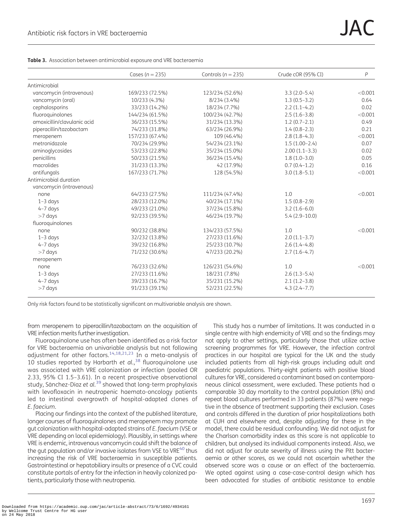|                             | Cases ( $n = 235$ ) | Controls ( $n = 235$ ) | Crude cOR (95% CI) | P       |
|-----------------------------|---------------------|------------------------|--------------------|---------|
| Antimicrobial               |                     |                        |                    |         |
| vancomycin (intravenous)    | 169/233 (72.5%)     | 123/234 (52.6%)        | $3.3(2.0-5.4)$     | < 0.001 |
| vancomycin (oral)           | 10/233 (4.3%)       | 8/234 (3.4%)           | $1.3(0.5-3.2)$     | 0.64    |
| cephalosporins              | 33/233 (14.2%)      | 18/234 (7.7%)          | $2.2(1.1-4.2)$     | 0.02    |
| fluoroquinolones            | 144/234 (61.5%)     | 100/234 (42.7%)        | $2.5(1.6-3.8)$     | < 0.001 |
| amoxicillin/clavulanic acid | 36/233 (15.5%)      | 31/234 (13.3%)         | $1.2(0.7-2.1)$     | 0.49    |
| piperacillin/tazobactam     | 74/233 (31.8%)      | 63/234 (26.9%)         | $1.4(0.8-2.3)$     | 0.21    |
| meropenem                   | 157/233 (67.4%)     | 109 (46.4%)            | $2.8(1.8-4.3)$     | < 0.001 |
| metronidazole               | 70/234 (29.9%)      | 54/234 (23.1%)         | $1.5(1.00-2.4)$    | 0.07    |
| aminoglycosides             | 53/233 (22.8%)      | 35/234 (15.0%)         | $2.00(1.1-3.3)$    | 0.02    |
| penicillins                 | 50/233 (21.5%)      | 36/234 (15.4%)         | $1.8(1.0-3.0)$     | 0.05    |
| macrolides                  | 31/233 (13.3%)      | 42 (17.9%)             | $0.7(0.4-1.2)$     | 0.16    |
| antifungals                 | 167/233 (71.7%)     | 128 (54.5%)            | $3.0(1.8-5.1)$     | < 0.001 |
| Antimicrobial duration      |                     |                        |                    |         |
| vancomycin (intravenous)    |                     |                        |                    |         |
| none                        | 64/233 (27.5%)      | 111/234 (47.4%)        | 1.0                | < 0.001 |
| $1-3$ days                  | 28/233 (12.0%)      | 40/234 (17.1%)         | $1.5(0.8-2.9)$     |         |
| $4 - 7$ days                | 49/233 (21.0%)      | 37/234 (15.8%)         | $3.2(1.6-6.0)$     |         |
| $>7$ days                   | 92/233 (39.5%)      | 46/234 (19.7%)         | $5.4(2.9-10.0)$    |         |
| fluoroquinolones            |                     |                        |                    |         |
| none                        | 90/232 (38.8%)      | 134/233 (57.5%)        | 1.0                | < 0.001 |
| $1-3$ days                  | 32/232 (13.8%)      | 27/233 (11.6%)         | $2.0(1.1-3.7)$     |         |
| $4 - 7$ days                | 39/232 (16.8%)      | 25/233 (10.7%)         | $2.6(1.4-4.8)$     |         |
| $>7$ days                   | 71/232 (30.6%)      | 47/233 (20.2%)         | $2.7(1.6-4.7)$     |         |
| meropenem                   |                     |                        |                    |         |
| none                        | 76/233 (32.6%)      | 126/231 (54.6%)        | 1.0                | < 0.001 |
| $1-3$ days                  | 27/233 (11.6%)      | 18/231 (7.8%)          | $2.6(1.3-5.4)$     |         |
| $4 - 7$ days                | 39/233 (16.7%)      | 35/231 (15.2%)         | $2.1(1.2-3.8)$     |         |
| >7 days                     | 91/233 (39.1%)      | 52/231 (22.5%)         | $4.3(2.4 - 7.7)$   |         |
|                             |                     |                        |                    |         |

<span id="page-5-0"></span>Table 3. Association between antimicrobial exposure and VRE bacteraemia

Only risk factors found to be statistically significant on multivariable analysis are shown.

from meropenem to piperacillin/tazobactam on the acquisition of VRE infection merits further investigation.

Fluoroquinolone use has often been identified as a risk factor for VRE bacteraemia on univariable analysis but not following adjustment for other factors.<sup>[14](#page-7-0),[18,21](#page-7-0),[23](#page-7-0)</sup> In a meta-analysis of 10 studies reported by Harbarth et  $al.$ <sup>[38](#page-7-0)</sup> fluoroquinolone use was associated with VRE colonization or infection (pooled OR 2.33, 95% CI 1.5–3.61). In a recent prospective observational study, Sánchez-Díaz et al.<sup>[39](#page-7-0)</sup> showed that long-term prophylaxis with levofloxacin in neutropenic haemato-oncology patients led to intestinal overgrowth of hospital-adapted clones of E. faecium.

Placing our findings into the context of the published literature, longer courses of fluoroquinolones and meropenem may promote gut colonization with hospital-adapted strains of E. faecium (VSE or VRE depending on local epidemiology). Plausibly, in settings where VRE is endemic, intravenous vancomycin could shift the balance of the gut population and/or invasive isolates from VSE to VRE<sup>40</sup> thus increasing the risk of VRE bacteraemia in susceptible patients. Gastrointestinal or hepatobiliary insults or presence of a CVC could constitute portals of entry for the infection in heavily colonized patients, particularly those with neutropenia.

This study has a number of limitations. It was conducted in a single centre with high endemicity of VRE and so the findings may not apply to other settings, particularly those that utilize active screening programmes for VRE. However, the infection control practices in our hospital are typical for the UK and the study included patients from all high-risk groups including adult and paediatric populations. Thirty-eight patients with positive blood cultures for VRE, considered a contaminant based on contemporaneous clinical assessment, were excluded. These patients had a comparable 30 day mortality to the control population (8%) and repeat blood cultures performed in 33 patients (87%) were negative in the absence of treatment supporting their exclusion. Cases and controls differed in the duration of prior hospitalizations both at CUH and elsewhere and, despite adjusting for these in the model, there could be residual confounding. We did not adjust for the Charlson comorbidity index as this score is not applicable to children, but analysed its individual components instead. Also, we did not adjust for acute severity of illness using the Pitt bacteraemia or other scores, as we could not ascertain whether the observed score was a cause or an effect of the bacteraemia. We opted against using a case-case-control design which has been advocated for studies of antibiotic resistance to enable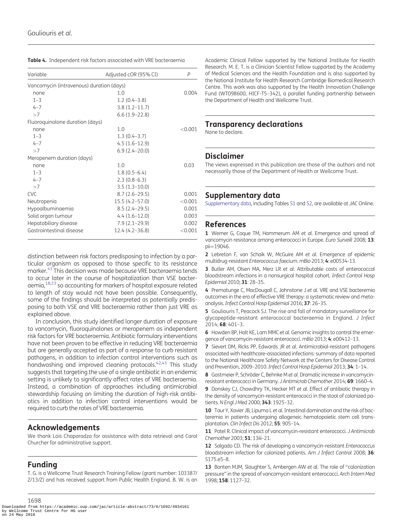<span id="page-6-0"></span>

|  |  | Table 4. Independent risk factors associated with VRE bacteraemia |
|--|--|-------------------------------------------------------------------|
|  |  |                                                                   |

| Variable                                 | Adjusted cOR (95% CI) | P       |
|------------------------------------------|-----------------------|---------|
| Vancomycin (intravenous) duration (days) |                       |         |
| none                                     | 1.0                   | 0.004   |
| $1 - 3$                                  | $1.2(0.4-3.8)$        |         |
| $4 - 7$                                  | $3.8(1.2 - 11.7)$     |         |
| >7                                       | $6.6(1.9-22.8)$       |         |
| Fluoroquinolone duration (days)          |                       |         |
| none                                     | 1.0                   | < 0.001 |
| $1 - 3$                                  | $1.3(0.4-3.7)$        |         |
| $4 - 7$                                  | $4.5(1.6-12.9)$       |         |
| >7                                       | $6.9(2.4 - 20.0)$     |         |
| Meropenem duration (days)                |                       |         |
| none                                     | 1.0                   | 0.03    |
| $1 - 3$                                  | $1.8(0.5-6.4)$        |         |
| $4 - 7$                                  | $2.3(0.8-6.3)$        |         |
| >7                                       | $3.5(1.3 - 10.0)$     |         |
| <b>CVC</b>                               | $8.7(2.6-29.5)$       | 0.001   |
| Neutropenia                              | 15.5 (4.2–57.0)       | < 0.001 |
| Hypoalbuminaemia                         | $8.5(2.4-29.5)$       | 0.001   |
| Solid organ tumour                       | $4.4(1.6-12.0)$       | 0.003   |
| Hepatobiliary disease                    | $7.9(2.1-29.9)$       | 0.002   |
| Gastrointestinal disease                 | 12.4 (4.2–36.8)       | < 0.001 |

distinction between risk factors predisposing to infection by a particular organism as opposed to those specific to its resistance marker[.41](#page-7-0) This decision was made because VRE bacteraemia tends to occur later in the course of hospitalization than VSE bacteraemia,  $18,23$  so accounting for markers of hospital exposure related to length of stay would not have been possible. Consequently, some of the findings should be interpreted as potentially predisposing to both VSE and VRE bacteraemia rather than just VRE as explained above.

In conclusion, this study identified longer duration of exposure to vancomycin, fluoroquinolones or meropenem as independent risk factors for VRE bacteraemia. Antibiotic formulary interventions have not been proven to be effective in reducing VRE bacteraemia but are generally accepted as part of a response to curb resistant pathogens, in addition to infection control interventions such as handwashing and improved cleaning protocols.<sup>42,43</sup> This study suggests that targeting the use of a single antibiotic in an endemic setting is unlikely to significantly affect rates of VRE bacteraemia. Instead, a combination of approaches including antimicrobial stewardship focusing on limiting the duration of high-risk antibiotics in addition to infection control interventions would be required to curb the rates of VRE bacteraemia.

### Acknowledgements

We thank Lois Chaparadza for assistance with data retrieval and Carol Churcher for administrative support.

# Funding

T. G. is a Wellcome Trust Research Training Fellow (grant number: 103387/ Z/13/Z) and has received support from Public Health England. B. W. is an Academic Clinical Fellow supported by the National Institute for Health Research. M. E. T. is a Clinician Scientist Fellow supported by the Academy of Medical Sciences and the Health Foundation and is also supported by the National Institute for Health Research Cambridge Biomedical Research Centre. This work was also supported by the Health Innovation Challenge Fund (WT098600, HICF-T5–342), a parallel funding partnership between the Department of Health and Wellcome Trust.

# Transparency declarations

None to declare.

### Disclaimer

The views expressed in this publication are those of the authors and not necessarily those of the Department of Health or Wellcome Trust.

#### Supplementary data

[Supplementary data](https://academic.oup.com/jac/article-lookup/doi/10.1093/jac/dky075#supplementary-data), including Tables [S1](https://academic.oup.com/jac/article-lookup/doi/10.1093/jac/dky075#supplementary-data) and [S2](https://academic.oup.com/jac/article-lookup/doi/10.1093/jac/dky075#supplementary-data), are available at JAC Online.

### References

[1](#page-0-0) Werner G, Coque TM, Hammerum AM et al. Emergence and spread of vancomycin resistance among enterococci in Europe. Euro Surveill 2008; 13:  $pi = 19046$ .

[2](#page-0-0) Lebreton F, van Schaik W, McGuire AM et al. Emergence of epidemic multidrug-resistant Enterococcus faecium. mBio 2013; 4: e00534-13.

[3](#page-0-0) Butler AM, Olsen MA, Merz LR et al. Attributable costs of enterococcal bloodstream infections in a nonsurgical hospital cohort. Infect Control Hosp Epidemiol 2010; 31: 28–35.

[4](#page-0-0) Prematunge C, MacDougall C, Johnstone J et al. VRE and VSE bacteremia outcomes in the era of effective VRE therapy: a systematic review and metaanalysis.Infect Control Hosp Epidemiol 2016; 37: 26–35.

5 Gouliouris T, Peacock SJ. The rise and fall of mandatory surveillance for glycopeptide-resistant enterococcal bacteraemia in England. J Infect 2014; 68: 401–3.

[6](#page-4-0) Howden BP, Holt KE, Lam MMC et al. Genomic insights to control the emergence of vancomycin-resistant enterococci. mBio 2013; 4: e00412–13.

7 Sievert DM, Ricks PP, Edwards JR et al. Antimicrobial-resistant pathogens associated with healthcare-associated infections: summary of data reported to the National Healthcare Safety Network at the Centers for Disease Control and Prevention, 2009-2010. Infect Control Hosp Epidemiol 2013; 34: 1-14.

[8](#page-0-0) Gastmeier P, Schröder C, Behnke M et al. Dramatic increase in vancomycinresistant enterococci in Germany. J Antimicrob Chemother 2014; 69: 1660–4.

[9](#page-0-0) Donskey CJ, Chowdhry TK, Hecker MT et al. Effect of antibiotic therapy in the density of vancomycin-resistant enterococci in the stool of colonized patients. N Engl J Med 2000; 343: 1925-32.

[10](#page-0-0) Taur Y, Xavier JB, Lipuma L et al. Intestinal domination and the risk of bacteremia in patients undergoing allogeneic hematopoietic stem cell transplantation. Clin Infect Dis 2012; 55: 905–14.

[11](#page-0-0) Patel R. Clinical impact of vancomycin-resistant enterococci. J Antimicrob Chemother 2003; 51: 13iii–21.

[12](#page-0-0) Salgado CD. The risk of developing a vancomycin-resistant Enterococcus bloodstream infection for colonized patients. Am J Infect Control 2008; 36: S175.e5–8.

[13](#page-1-0) Bonten MJM, Slaughter S, Ambergen AW et al. The role of "colonization pressure" in the spread of vancomycin-resistant enterococci. Arch Intern Med 1998; 158: 1127–32.